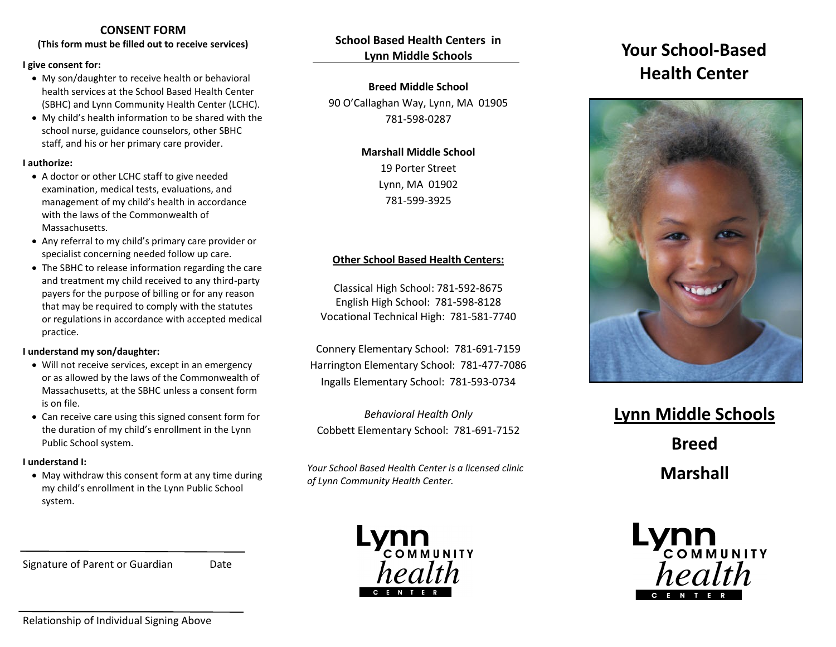# **CONSENT FORM**

**(This form must be filled out to receive services)**

#### **I give consent for:**

- My son/daughter to receive health or behavioral health services at the School Based Health Center (SBHC) and Lynn Community Health Center (LCHC).
- My child's health information to be shared with the school nurse, guidance counselors, other SBHC staff, and his or her primary care provider.

#### **I authorize:**

- A doctor or other LCHC staff to give needed examination, medical tests, evaluations, and management of my child's health in accordance with the laws of the Commonwealth of Massachusetts.
- Any referral to my child's primary care provider or specialist concerning needed follow up care.
- The SBHC to release information regarding the care and treatment my child received to any third-party payers for the purpose of billing or for any reason that may be required to comply with the statutes or regulations in accordance with accepted medical practice.

#### **I understand my son/daughter:**

- Will not receive services, except in an emergency or as allowed by the laws of the Commonwealth of Massachusetts, at the SBHC unless a consent form is on file.
- Can receive care using this signed consent form for the duration of my child's enrollment in the Lynn Public School system.

#### **I understand I:**

• May withdraw this consent form at any time during my child's enrollment in the Lynn Public School system.

Signature of Parent or Guardian Date

**School Based Health Centers in Lynn Middle Schools**

### **Breed Middle School**

90 O'Callaghan Way, Lynn, MA 01905 781-598-0287

# **Marshall Middle School** 19 Porter Street Lynn, MA 01902

781-599-3925

#### **Other School Based Health Centers:**

Classical High School: 781-592-8675 English High School: 781-598-8128 Vocational Technical High: 781-581-7740

Connery Elementary School: 781-691-7159 Harrington Elementary School: 781-477-7086 Ingalls Elementary School: 781-593-0734

*Behavioral Health Only* Cobbett Elementary School: 781-691-7152

*Your School Based Health Center is a licensed clinic of Lynn Community Health Center.*



# **Your School-Based Health Center**



# **Lynn Middle Schools**

**Breed** 

**Marshall** 



Relationship of Individual Signing Above